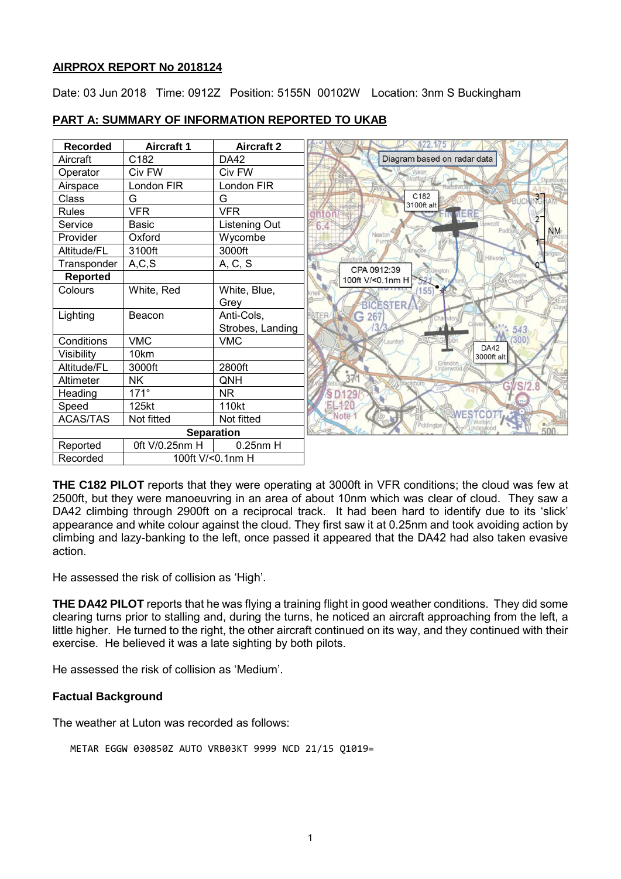### **AIRPROX REPORT No 2018124**

Date: 03 Jun 2018 Time: 0912Z Position: 5155N 00102W Location: 3nm S Buckingham



### **PART A: SUMMARY OF INFORMATION REPORTED TO UKAB**

**THE C182 PILOT** reports that they were operating at 3000ft in VFR conditions; the cloud was few at 2500ft, but they were manoeuvring in an area of about 10nm which was clear of cloud. They saw a DA42 climbing through 2900ft on a reciprocal track. It had been hard to identify due to its 'slick' appearance and white colour against the cloud. They first saw it at 0.25nm and took avoiding action by climbing and lazy-banking to the left, once passed it appeared that the DA42 had also taken evasive action.

He assessed the risk of collision as 'High'.

**THE DA42 PILOT** reports that he was flying a training flight in good weather conditions. They did some clearing turns prior to stalling and, during the turns, he noticed an aircraft approaching from the left, a little higher. He turned to the right, the other aircraft continued on its way, and they continued with their exercise. He believed it was a late sighting by both pilots.

He assessed the risk of collision as 'Medium'.

# **Factual Background**

The weather at Luton was recorded as follows:

```
METAR EGGW 030850Z AUTO VRB03KT 9999 NCD 21/15 Q1019=
```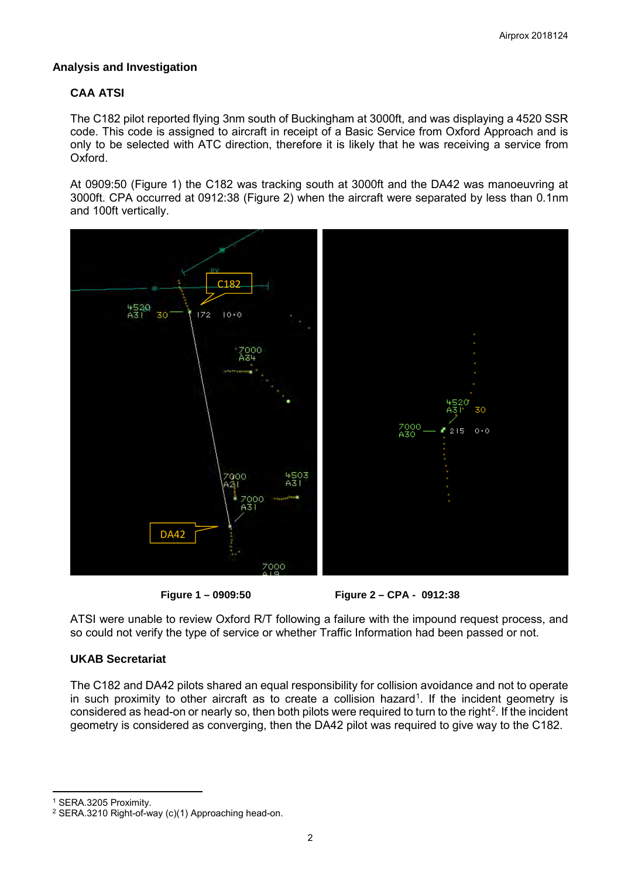# **Analysis and Investigation**

# **CAA ATSI**

The C182 pilot reported flying 3nm south of Buckingham at 3000ft, and was displaying a 4520 SSR code. This code is assigned to aircraft in receipt of a Basic Service from Oxford Approach and is only to be selected with ATC direction, therefore it is likely that he was receiving a service from Oxford.

At 0909:50 (Figure 1) the C182 was tracking south at 3000ft and the DA42 was manoeuvring at 3000ft. CPA occurred at 0912:38 (Figure 2) when the aircraft were separated by less than 0.1nm and 100ft vertically.





ATSI were unable to review Oxford R/T following a failure with the impound request process, and so could not verify the type of service or whether Traffic Information had been passed or not.

# **UKAB Secretariat**

The C182 and DA42 pilots shared an equal responsibility for collision avoidance and not to operate in such proximity to other aircraft as to create a collision hazard<sup>[1](#page-1-0)</sup>. If the incident geometry is considered as head-on or nearly so, then both pilots were required to turn to the right<sup>[2](#page-1-1)</sup>. If the incident geometry is considered as converging, then the DA42 pilot was required to give way to the C182.

<span id="page-1-0"></span><sup>1</sup> SERA.3205 Proximity.

l

<span id="page-1-1"></span><sup>2</sup> SERA.3210 Right-of-way (c)(1) Approaching head-on.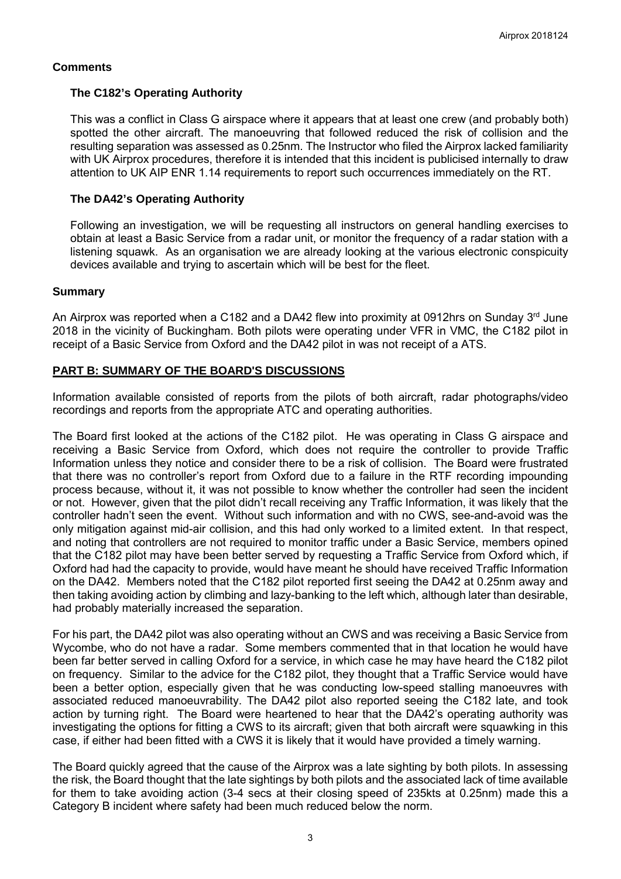# **Comments**

# **The C182's Operating Authority**

This was a conflict in Class G airspace where it appears that at least one crew (and probably both) spotted the other aircraft. The manoeuvring that followed reduced the risk of collision and the resulting separation was assessed as 0.25nm. The Instructor who filed the Airprox lacked familiarity with UK Airprox procedures, therefore it is intended that this incident is publicised internally to draw attention to UK AIP ENR 1.14 requirements to report such occurrences immediately on the RT.

### **The DA42's Operating Authority**

Following an investigation, we will be requesting all instructors on general handling exercises to obtain at least a Basic Service from a radar unit, or monitor the frequency of a radar station with a listening squawk. As an organisation we are already looking at the various electronic conspicuity devices available and trying to ascertain which will be best for the fleet.

#### **Summary**

An Airprox was reported when a C182 and a DA42 flew into proximity at 0912hrs on Sunday  $3<sup>rd</sup>$  June 2018 in the vicinity of Buckingham. Both pilots were operating under VFR in VMC, the C182 pilot in receipt of a Basic Service from Oxford and the DA42 pilot in was not receipt of a ATS.

# **PART B: SUMMARY OF THE BOARD'S DISCUSSIONS**

Information available consisted of reports from the pilots of both aircraft, radar photographs/video recordings and reports from the appropriate ATC and operating authorities.

The Board first looked at the actions of the C182 pilot. He was operating in Class G airspace and receiving a Basic Service from Oxford, which does not require the controller to provide Traffic Information unless they notice and consider there to be a risk of collision. The Board were frustrated that there was no controller's report from Oxford due to a failure in the RTF recording impounding process because, without it, it was not possible to know whether the controller had seen the incident or not. However, given that the pilot didn't recall receiving any Traffic Information, it was likely that the controller hadn't seen the event. Without such information and with no CWS, see-and-avoid was the only mitigation against mid-air collision, and this had only worked to a limited extent. In that respect, and noting that controllers are not required to monitor traffic under a Basic Service, members opined that the C182 pilot may have been better served by requesting a Traffic Service from Oxford which, if Oxford had had the capacity to provide, would have meant he should have received Traffic Information on the DA42. Members noted that the C182 pilot reported first seeing the DA42 at 0.25nm away and then taking avoiding action by climbing and lazy-banking to the left which, although later than desirable, had probably materially increased the separation.

For his part, the DA42 pilot was also operating without an CWS and was receiving a Basic Service from Wycombe, who do not have a radar. Some members commented that in that location he would have been far better served in calling Oxford for a service, in which case he may have heard the C182 pilot on frequency. Similar to the advice for the C182 pilot, they thought that a Traffic Service would have been a better option, especially given that he was conducting low-speed stalling manoeuvres with associated reduced manoeuvrability. The DA42 pilot also reported seeing the C182 late, and took action by turning right. The Board were heartened to hear that the DA42's operating authority was investigating the options for fitting a CWS to its aircraft; given that both aircraft were squawking in this case, if either had been fitted with a CWS it is likely that it would have provided a timely warning.

The Board quickly agreed that the cause of the Airprox was a late sighting by both pilots. In assessing the risk, the Board thought that the late sightings by both pilots and the associated lack of time available for them to take avoiding action (3-4 secs at their closing speed of 235kts at 0.25nm) made this a Category B incident where safety had been much reduced below the norm.